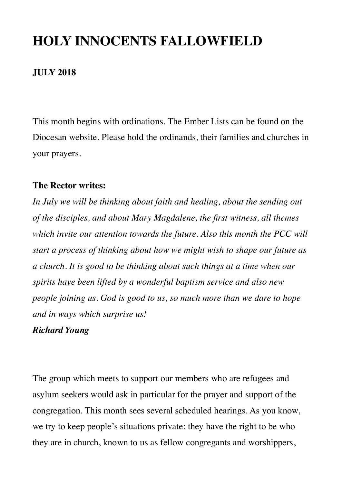## **HOLY INNOCENTS FALLOWFIELD**

### **JULY 2018**

This month begins with ordinations. The Ember Lists can be found on the Diocesan website. Please hold the ordinands, their families and churches in your prayers.

### **The Rector writes:**

*In July we will be thinking about faith and healing, about the sending out of the disciples, and about Mary Magdalene, the first witness, all themes which invite our attention towards the future. Also this month the PCC will start a process of thinking about how we might wish to shape our future as a church. It is good to be thinking about such things at a time when our spirits have been lifted by a wonderful baptism service and also new people joining us. God is good to us, so much more than we dare to hope and in ways which surprise us!*

### *Richard Young*

The group which meets to support our members who are refugees and asylum seekers would ask in particular for the prayer and support of the congregation. This month sees several scheduled hearings. As you know, we try to keep people's situations private: they have the right to be who they are in church, known to us as fellow congregants and worshippers,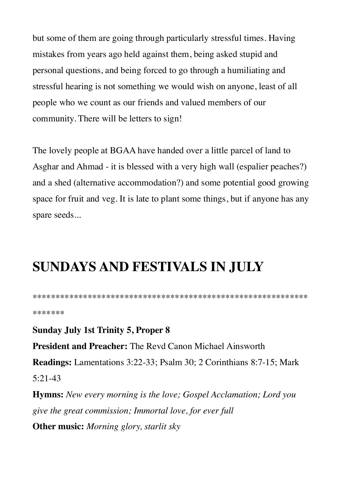but some of them are going through particularly stressful times. Having mistakes from years ago held against them, being asked stupid and personal questions, and being forced to go through a humiliating and stressful hearing is not something we would wish on anyone, least of all people who we count as our friends and valued members of our community. There will be letters to sign!

The lovely people at BGAA have handed over a little parcel of land to Asghar and Ahmad - it is blessed with a very high wall (espalier peaches?) and a shed (alternative accommodation?) and some potential good growing space for fruit and veg. It is late to plant some things, but if anyone has any spare seeds...

### **SUNDAYS AND FESTIVALS IN JULY**

\*\*\*\*\*\*\*\*\*\*\*\*\*\*\*\*\*\*\*\*\*\*\*\*\*\*\*\*\*\*\*\*\*\*\*\*\*\*\*\*\*\*\*\*\*\*\*\*\*\*\*\*\*\*\*\*\*\*\*\* \*\*\*\*\*\*\*

**Sunday July 1st Trinity 5, Proper 8 President and Preacher:** The Revd Canon Michael Ainsworth **Readings:** Lamentations 3:22-33; Psalm 30; 2 Corinthians 8:7-15; Mark 5:21-43 **Hymns:** *New every morning is the love; Gospel Acclamation; Lord you give the great commission; Immortal love, for ever full*

**Other music:** *Morning glory, starlit sky*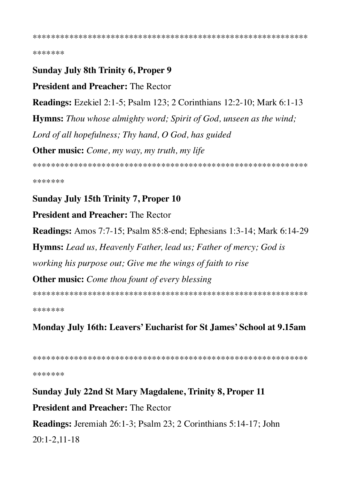\*\*\*\*\*\*\*

### **Sunday July 8th Trinity 6, Proper 9**

**President and Preacher: The Rector** 

**Readings:** Ezekiel 2:1-5; Psalm 123; 2 Corinthians 12:2-10; Mark 6:1-13

**Hymns:** Thou whose almighty word; Spirit of God, unseen as the wind;

Lord of all hopefulness; Thy hand, O God, has guided

**Other music:** Come, my way, my truth, my life

\*\*\*\*\*\*\*

### **Sunday July 15th Trinity 7, Proper 10**

**President and Preacher: The Rector** 

**Readings:** Amos 7:7-15; Psalm 85:8-end; Ephesians 1:3-14; Mark 6:14-29

**Hymns:** Lead us, Heavenly Father, lead us; Father of mercy; God is

working his purpose out; Give me the wings of faith to rise

**Other music:** Come thou fount of every blessing

\*\*\*\*\*\*\*

Monday July 16th: Leavers' Eucharist for St James' School at 9.15am

\*\*\*\*\*\*\*

### Sunday July 22nd St Mary Magdalene, Trinity 8, Proper 11

**President and Preacher: The Rector** 

**Readings:** Jeremiah 26:1-3; Psalm 23; 2 Corinthians 5:14-17; John

 $20:1-2.11-18$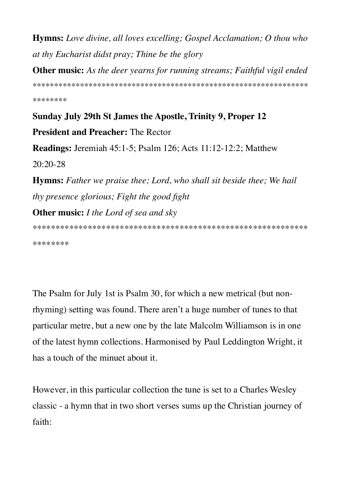**Hymns:** Love divine, all loves excelling; Gospel Acclamation; O thou who at thy Eucharist didst pray; Thine be the glory

**Other music:** As the deer yearns for running streams; Faithful vigil ended

\*\*\*\*\*\*\*\*

# **Sunday July 29th St James the Apostle, Trinity 9, Proper 12 President and Preacher: The Rector**

**Readings:** Jeremiah  $45:1-5$ ; Psalm  $126$ ; Acts  $11:12-12:2$ ; Matthew  $20:20-28$ 

**Hymns:** Father we praise thee; Lord, who shall sit beside thee; We hail thy presence glorious; Fight the good fight **Other music:** *I the Lord of sea and sky* 

\*\*\*\*\*\*\*\*

The Psalm for July 1st is Psalm 30, for which a new metrical (but nonrhyming) setting was found. There aren't a huge number of tunes to that particular metre, but a new one by the late Malcolm Williamson is in one of the latest hymn collections. Harmonised by Paul Leddington Wright, it has a touch of the minuet about it.

However, in this particular collection the tune is set to a Charles Wesley classic - a hymn that in two short verses sums up the Christian journey of faith: